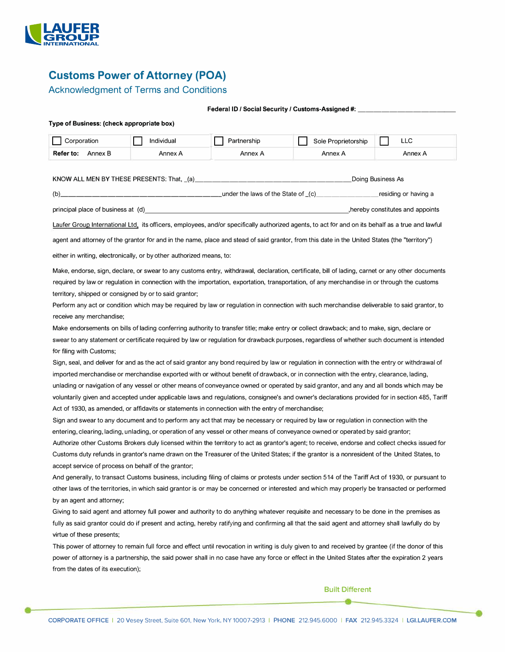

# **Customs Power of Attorney (POA)**

### Acknowledgment of Terms and Conditions

| Federal ID / Social Security / Customs-Assigned #: |  |
|----------------------------------------------------|--|
|----------------------------------------------------|--|

### **Type of Business: (check appropriate box)**

| Corporation                                         | Individual                                                           | Partnership                                                                                                                                                                                                                    | Sole Proprietorship                                                                                                                               | <b>LLC</b>                      |
|-----------------------------------------------------|----------------------------------------------------------------------|--------------------------------------------------------------------------------------------------------------------------------------------------------------------------------------------------------------------------------|---------------------------------------------------------------------------------------------------------------------------------------------------|---------------------------------|
| <b>Refer to:</b> Annex B                            | Annex A                                                              | Annex A                                                                                                                                                                                                                        | Annex A                                                                                                                                           | Annex A                         |
|                                                     |                                                                      |                                                                                                                                                                                                                                |                                                                                                                                                   |                                 |
|                                                     | KNOW ALL MEN BY THESE PRESENTS: That, (a)                            |                                                                                                                                                                                                                                |                                                                                                                                                   | Doing Business As               |
|                                                     |                                                                      |                                                                                                                                                                                                                                |                                                                                                                                                   |                                 |
|                                                     |                                                                      | principal place of business at (d) example and the state of the state of the state of the state of the state of the state of the state of the state of the state of the state of the state of the state of the state of the st |                                                                                                                                                   | hereby constitutes and appoints |
|                                                     |                                                                      |                                                                                                                                                                                                                                | Laufer Group International Ltd, its officers, employees, and/or specifically authorized agents, to act for and on its behalf as a true and lawful |                                 |
|                                                     |                                                                      |                                                                                                                                                                                                                                |                                                                                                                                                   |                                 |
|                                                     |                                                                      |                                                                                                                                                                                                                                | agent and attorney of the grantor for and in the name, place and stead of said grantor, from this date in the United States (the "territory")     |                                 |
|                                                     | either in writing, electronically, or by other authorized means, to: |                                                                                                                                                                                                                                |                                                                                                                                                   |                                 |
|                                                     |                                                                      |                                                                                                                                                                                                                                | Make, endorse, sign, declare, or swear to any customs entry, withdrawal, declaration, certificate, bill of lading, carnet or any other documents  |                                 |
|                                                     |                                                                      |                                                                                                                                                                                                                                | required by law or regulation in connection with the importation, exportation, transportation, of any merchandise in or through the customs       |                                 |
|                                                     | territory, shipped or consigned by or to said grantor;               |                                                                                                                                                                                                                                |                                                                                                                                                   |                                 |
|                                                     |                                                                      |                                                                                                                                                                                                                                | Perform any act or condition which may be required by law or regulation in connection with such merchandise deliverable to said grantor, to       |                                 |
| receive any merchandise;                            |                                                                      |                                                                                                                                                                                                                                |                                                                                                                                                   |                                 |
|                                                     |                                                                      |                                                                                                                                                                                                                                | Make endorsements on bills of lading conferring authority to transfer title; make entry or collect drawback; and to make, sign, declare or        |                                 |
|                                                     |                                                                      |                                                                                                                                                                                                                                | swear to any statement or certificate required by law or regulation for drawback purposes, regardless of whether such document is intended        |                                 |
| for filing with Customs;                            |                                                                      |                                                                                                                                                                                                                                |                                                                                                                                                   |                                 |
|                                                     |                                                                      |                                                                                                                                                                                                                                | Sign, seal, and deliver for and as the act of said grantor any bond required by law or regulation in connection with the entry or withdrawal of   |                                 |
|                                                     |                                                                      |                                                                                                                                                                                                                                | imported merchandise or merchandise exported with or without benefit of drawback, or in connection with the entry, clearance, lading,             |                                 |
|                                                     |                                                                      |                                                                                                                                                                                                                                | unlading or navigation of any vessel or other means of conveyance owned or operated by said grantor, and any and all bonds which may be           |                                 |
|                                                     |                                                                      |                                                                                                                                                                                                                                | voluntarily given and accepted under applicable laws and regulations, consignee's and owner's declarations provided for in section 485, Tariff    |                                 |
|                                                     |                                                                      | Act of 1930, as amended, or affidavits or statements in connection with the entry of merchandise;                                                                                                                              |                                                                                                                                                   |                                 |
|                                                     |                                                                      |                                                                                                                                                                                                                                | Sign and swear to any document and to perform any act that may be necessary or required by law or regulation in connection with the               |                                 |
|                                                     |                                                                      |                                                                                                                                                                                                                                | entering, clearing, lading, unlading, or operation of any vessel or other means of conveyance owned or operated by said grantor;                  |                                 |
|                                                     |                                                                      |                                                                                                                                                                                                                                | Authorize other Customs Brokers duly licensed within the territory to act as grantor's agent; to receive, endorse and collect checks issued for   |                                 |
|                                                     |                                                                      |                                                                                                                                                                                                                                | Customs duty refunds in grantor's name drawn on the Treasurer of the United States; if the grantor is a nonresident of the United States, to      |                                 |
| accept service of process on behalf of the grantor; |                                                                      |                                                                                                                                                                                                                                |                                                                                                                                                   |                                 |
|                                                     |                                                                      |                                                                                                                                                                                                                                |                                                                                                                                                   |                                 |
|                                                     |                                                                      |                                                                                                                                                                                                                                | And generally, to transact Customs business, including filing of claims or protests under section 514 of the Tariff Act of 1930, or pursuant to   |                                 |
| by an agent and attorney;                           |                                                                      |                                                                                                                                                                                                                                | other laws of the territories, in which said grantor is or may be concerned or interested and which may properly be transacted or performed       |                                 |

Giving to said agent and attorney full power and authority to do anything whatever requisite and necessary to be done in the premises as fully as said grantor could do if present and acting, hereby ratifying and confirming all that the said agent and attorney shall lawfully do by virtue of these presents;

This power of attorney to remain full force and effect until revocation in writing is duly given to and received by grantee {if the donor of this power of attorney is a partnership, the said power shall in no case have any force or effect in the United States after the expiration 2 years from the dates of its execution);

### Built Different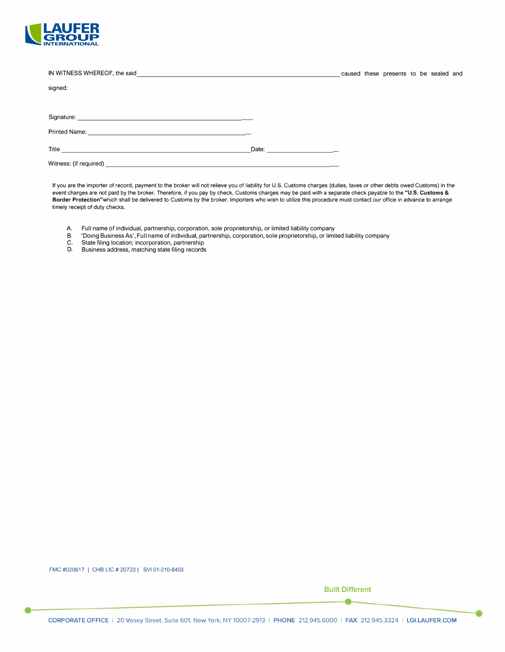

| IN WITNESS WHEREOF, the said<br><u> 1989 - Andrea Stadt Britain, amerikansk politik (* 1958)</u>                                                                                                                                     |                                          |  | caused these presents to be sealed and |  |  |
|--------------------------------------------------------------------------------------------------------------------------------------------------------------------------------------------------------------------------------------|------------------------------------------|--|----------------------------------------|--|--|
| signed:                                                                                                                                                                                                                              |                                          |  |                                        |  |  |
|                                                                                                                                                                                                                                      |                                          |  |                                        |  |  |
| Signature: <u>Production and Contract and Contract and Contract and Contract and Contract and Contract and Contract and Contract and Contract and Contract and Contract and Contract and Contract and Contract and Contract and </u> |                                          |  |                                        |  |  |
|                                                                                                                                                                                                                                      |                                          |  |                                        |  |  |
| Title <b>The Community of the Community Community</b> and the Community of the Community Community of the Community of the Community of the Community of the Community of the Community of the Community of the Community of the Co  | Date: <u>Date: Experimental Property</u> |  |                                        |  |  |
|                                                                                                                                                                                                                                      |                                          |  |                                        |  |  |

If you are the importer of record, payment to the broker will not relieve you of liability for U.S. Customs charges (duties, taxes or other debts owed Customs) in the event charges are not paid by the broker. Therefore, if you pay by check, Customs charges may be paid with a separate check payable to the **"U.S. Customs** & **Border Protection"which** shall be delivered to Customs by the broker. Importers who wish to utilize this procedure must contact our office in advance to arrange timely receipt of duty checks.

- A. Full name of individual, partnership, corporation, sole proprietorship, or limited liability company<br>B. 'Doing Business As', Full name of individual, partnership, corporation, sole proprietorship, or limit
- B. 'Doing Business As', Full name of individual, partnership, corporation, sole proprietorship, or limited liability company
- 
- C. State filing location; incorporation, partnership D. Business address, matching state filing records

FMC #020617 I CHB LIC # 20723 I SVI 01-210-8403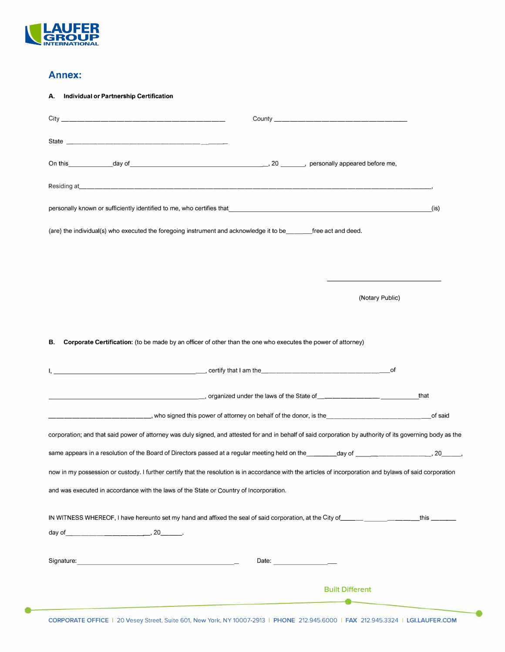

## **Annex:**

| <b>Individual or Partnership Certification</b><br>А.                                                                                                                                                                                 |                                                                                                                                                                                                                                |       |
|--------------------------------------------------------------------------------------------------------------------------------------------------------------------------------------------------------------------------------------|--------------------------------------------------------------------------------------------------------------------------------------------------------------------------------------------------------------------------------|-------|
|                                                                                                                                                                                                                                      |                                                                                                                                                                                                                                |       |
| State <u>___________________________________</u>                                                                                                                                                                                     |                                                                                                                                                                                                                                |       |
|                                                                                                                                                                                                                                      |                                                                                                                                                                                                                                |       |
|                                                                                                                                                                                                                                      |                                                                                                                                                                                                                                |       |
| personally known or sufficiently identified to me, who certifies that entertainment of the control of the control of the control of the control of the control of the control of the control of the control of the control of        |                                                                                                                                                                                                                                | (is). |
| (are) the individual(s) who executed the foregoing instrument and acknowledge it to be_____free act and deed.                                                                                                                        |                                                                                                                                                                                                                                |       |
|                                                                                                                                                                                                                                      |                                                                                                                                                                                                                                |       |
|                                                                                                                                                                                                                                      |                                                                                                                                                                                                                                |       |
|                                                                                                                                                                                                                                      | (Notary Public)                                                                                                                                                                                                                |       |
|                                                                                                                                                                                                                                      |                                                                                                                                                                                                                                |       |
| Corporate Certification: (to be made by an officer of other than the one who executes the power of attorney)<br>В.                                                                                                                   |                                                                                                                                                                                                                                |       |
|                                                                                                                                                                                                                                      |                                                                                                                                                                                                                                |       |
|                                                                                                                                                                                                                                      | of                                                                                                                                                                                                                             |       |
|                                                                                                                                                                                                                                      | organized under the laws of the State of with the two first processes of the State of with the fact the fact of the State of with the fact of the State of the State of the State of the State of the State of the State of th | that  |
|                                                                                                                                                                                                                                      |                                                                                                                                                                                                                                |       |
| corporation; and that said power of attorney was duly signed, and attested for and in behalf of said corporation by authority of its governing body as the                                                                           |                                                                                                                                                                                                                                |       |
|                                                                                                                                                                                                                                      |                                                                                                                                                                                                                                |       |
| now in my possession or custody. I further certify that the resolution is in accordance with the articles of incorporation and bylaws of said corporation                                                                            |                                                                                                                                                                                                                                |       |
| and was executed in accordance with the laws of the State or Country of Incorporation.                                                                                                                                               |                                                                                                                                                                                                                                |       |
| IN WITNESS WHEREOF, I have hereunto set my hand and affixed the seal of said corporation, at the City of entertainment and this entertainment                                                                                        |                                                                                                                                                                                                                                |       |
| Signature: <u>contract and a series of the series of the series of the series of the series of the series of the series of the series of the series of the series of the series of the series of the series of the series of the</u> | Date: $\qquad \qquad$                                                                                                                                                                                                          |       |
|                                                                                                                                                                                                                                      | <b>Built Different</b>                                                                                                                                                                                                         |       |

-0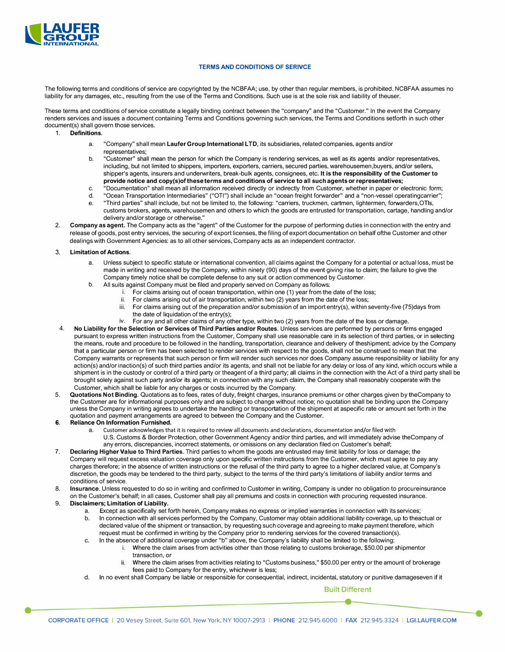

#### **TERMS AND CONDITIONS OF SERIVCE**

The following terms and conditions of service are copyrighted by the NCBFAA; use, by other than regular members, is prohibited. NCBFAA assumes no liability for any damages, etc., resulting from the use of the Terms and Conditions. Such use is at the sole risk and liability of theuser.

These terms and conditions of service constitute a legally binding contract between the "company" and the "Customer." In the event the Company renders services and issues a document containing Terms and Conditions governing such services, the Terms and Conditions setforth in such other document(s) shall govern those services.

- 1. **Definitions.** 
	- a. "Company" shall mean **Laufer Group International LTD,** its subsidiaries, related companies, agents and/or representatives;
	- b. "Customer" shall mean the person for which the Company is rendering services, as well as its agents and/or representatives, including, but not limited to shippers, importers, exporters, carriers, secured parties, warehousemen,buyers, and/or sellers, shipper's agents, insurers and underwriters, break-bulk agents, consignees, etc. **It is the responsibility of the Customer to provide notice and copy(s)of these terms and conditions of service to all such agents or representatives;**
	- c. "Documentation" shall mean all information received directly or indirectly from Customer, whether in paper or electronic form;
	- d. "Ocean Transportation Intermediaries" ("OTI") shall include an "ocean freight forwarder" and a "non-vessel operatingcarrier";
	- e. "Third parties" shall include, but not be limited to, the following: "carriers, truckmen, cartmen, lightermen, forwarders,OTls, customs brokers, agents, warehousemen and others to which the goods are entrusted for transportation, cartage, handling and/or delivery and/or storage or otherwise."
- 2. **Company as agent.** The Company acts as the "agent" of the Customer for the purpose of performing duties in connection with the entry and release of goods, post entry services, the securing of export licenses, the filing of export documentation on behalf ofthe Customer and other dealings with Government Agencies: as to all other services, Company acts as an independent contractor.

#### 3. **Limitation of Actions.**

- Unless subject to specific statute or international convention, all claims against the Company for a potential or actual loss, must be made in writing and received by the Company, within ninety (90) days of the event giving rise to claim; the failure to give the Company timely notice shall be complete defense to any suit or action commenced by Customer.
- b. All suits against Company must be filed and properly served on Company as follows:
	- i. For claims arising out of ocean transportation, within one (1) year from the date of the loss;<br>ii. For claims arising out of air transportation, within two (2) years from the date of the loss;
	- ii. For claims arising out of air transportation, within two (2) years from the date of the loss;<br>iii. For claims arising out of the preparation and/or submission of an import entry(s), within s
	- For claims arising out of the preparation and/or submission of an import entry(s), within seventy-five (75)days from the date of liquidation of the entry(s);
	- iv. For any and all other claims of any other type, within two (2) years from the date of the loss or damage.
- 4. **No Liability for the Selection or Services of Third Parties and/or Routes.** Unless services are performed by persons or firms engaged pursuant to express written instructions from the Customer, Company shall use reasonable care in its selection of third parties, or in selecting the means, route and procedure to be followed in the handling, transportation, clearance and delivery of theshipment; advice by the Company that a particular person or firm has been selected to render services with respect to the goods, shall not be construed to mean that the Company warrants or represents that such person or firm will render such services nor does Company assume responsibility or liability for any action(s) and/or inaction(s) of such third parties and/or its agents, and shall not be liable for any delay or loss of any kind, which occurs while a shipment is in the custody or control of a third party or theagent of a third party; all claims in the connection with the Act of a third party shall be brought solely against such party and/or its agents; in connection with any such claim, the Company shall reasonably cooperate with the Customer, which shall be liable for any charges or costs incurred by the Company.
- 5. **Quotations Not Binding.** Quotations as to fees, rates of duty, freight charges, insurance premiums or other charges given by theCompany to the Customer are for informational purposes only and are subject to change without notice; no quotation shall be binding upon the Company unless the Company in writing agrees to undertake the handling or transportation of the shipment at aspecific rate or amount set forth in the quotation and payment arrangements are agreed to between the Company and the Customer.

#### **6. Reliance On Information Furnished.**

- Customer acknowledges that it is required to review all documents and declarations, documentation and/or filed with U.S. Customs & Border Protection, other Government Agency and/or third parties, and will immediately advise theCompany of any errors, discrepancies, incorrect statements, or omissions on any declaration filed on Customer's behalf;
- 7. **Declaring Higher Value to Third Parties.** Third parties to whom the goods are entrusted may limit liability for loss or damage; the Company will request excess valuation coverage only upon specific written instructions from the Customer, which must agree to pay any charges therefore; in the absence of written instructions or the refusal of the third party to agree to a higher declared value, at Company's discretion, the goods may be tendered to the third party, subject to the terms of the third party's limitations of liability and/or terms and conditions of service.
- 8. **Insurance.** Unless requested to do so in writing and confirmed to Customer in writing, Company is under no obligation to procureinsurance on the Customer's behalf; in all cases, Customer shall pay all premiums and costs in connection with procuring requested insurance.
- 9. **Disclaimers; Limitation of Liability.** 
	- a. Except as specifically set forth herein, Company makes no express or implied warranties in connection with its services; b. In connection with all services performed by the Company, Customer may obtain additional liability coverage, up to theactual or declared value of the shipment or transaction, by requesting such coverage and agreeing to make payment therefore, which request must be confirmed in writing by the Company prior to rendering services for the covered transaction(s).
	- c. In the absence of additional coverage under "b" above, the Company's liability shall be limited to the following:<br>i. Where the claim arises from activities other than those relating to customs brokerage. \$50.00 per Where the claim arises from activities other than those relating to customs brokerage, \$50.00 per shipmentor transaction, or
		- ii. Where the claim arises from activities relating to "Customs business," \$50.00 per entry or the amount of brokerage fees paid to Company for the entry, whichever is less;
	- d. In no event shall Company be liable or responsible for consequential, indirect, incidental, statutory or punitive damageseven if it

**Built Different**